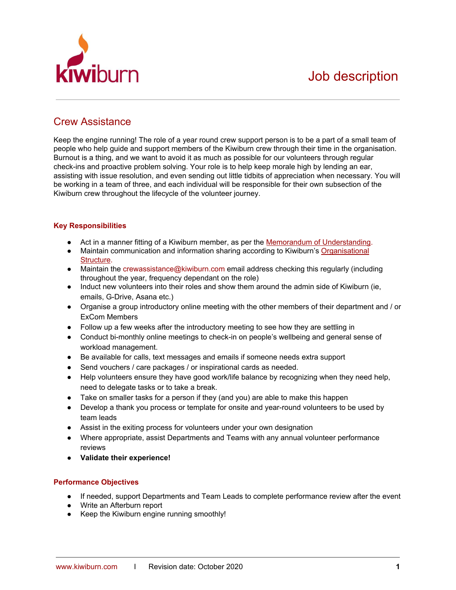

# Crew Assistance

Keep the engine running! The role of a year round crew support person is to be a part of a small team of people who help guide and support members of the Kiwiburn crew through their time in the organisation. Burnout is a thing, and we want to avoid it as much as possible for our volunteers through regular check-ins and proactive problem solving. Your role is to help keep morale high by lending an ear, assisting with issue resolution, and even sending out little tidbits of appreciation when necessary. You will be working in a team of three, and each individual will be responsible for their own subsection of the Kiwiburn crew throughout the lifecycle of the volunteer journey.

## **Key Responsibilities**

- Act in a manner fitting of a Kiwiburn member, as per the Memorandum of [Understanding](https://docs.google.com/document/d/1x5pzIP8bwl1zCpjNjUJ3QHAyrVnfFVwGu6uIfEbEiEI/edit?usp=sharing).
- Maintain communication and information sharing according to Kiwiburn's [Organisational](http://www.kiwiburn.com/about/how-it-works/) [Structure](http://www.kiwiburn.com/about/how-it-works/).
- Maintain the crewassistance@kiwiburn.com email address checking this regularly (including throughout the year, frequency dependant on the role)
- Induct new volunteers into their roles and show them around the admin side of Kiwiburn (ie, emails, G-Drive, Asana etc.)
- Organise a group introductory online meeting with the other members of their department and / or ExCom Members
- Follow up a few weeks after the introductory meeting to see how they are settling in
- Conduct bi-monthly online meetings to check-in on people's wellbeing and general sense of workload management.
- Be available for calls, text messages and emails if someone needs extra support
- Send vouchers / care packages / or inspirational cards as needed.
- Help volunteers ensure they have good work/life balance by recognizing when they need help, need to delegate tasks or to take a break.
- Take on smaller tasks for a person if they (and you) are able to make this happen
- Develop a thank you process or template for onsite and year-round volunteers to be used by team leads
- Assist in the exiting process for volunteers under your own designation
- Where appropriate, assist Departments and Teams with any annual volunteer performance reviews
- **● Validate their experience!**

### **Performance Objectives**

- If needed, support Departments and Team Leads to complete performance review after the event
- Write an Afterburn report
- Keep the Kiwiburn engine running smoothly!